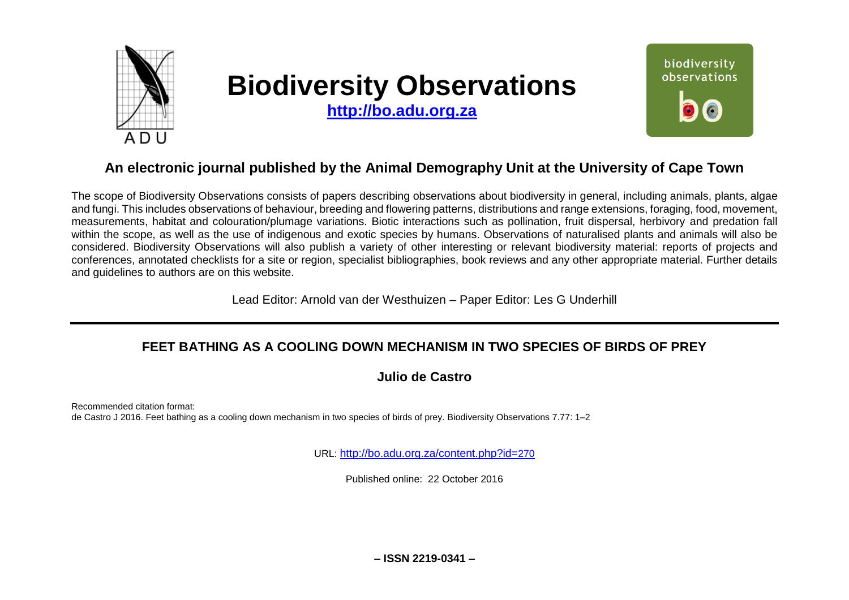

# **Biodiversity Observations**

**[http://bo.adu.org.za](http://bo.adu.org.za/)**



## **An electronic journal published by the Animal Demography Unit at the University of Cape Town**

The scope of Biodiversity Observations consists of papers describing observations about biodiversity in general, including animals, plants, algae and fungi. This includes observations of behaviour, breeding and flowering patterns, distributions and range extensions, foraging, food, movement, measurements, habitat and colouration/plumage variations. Biotic interactions such as pollination, fruit dispersal, herbivory and predation fall within the scope, as well as the use of indigenous and exotic species by humans. Observations of naturalised plants and animals will also be considered. Biodiversity Observations will also publish a variety of other interesting or relevant biodiversity material: reports of projects and conferences, annotated checklists for a site or region, specialist bibliographies, book reviews and any other appropriate material. Further details and guidelines to authors are on this website.

Lead Editor: Arnold van der Westhuizen – Paper Editor: Les G Underhill

## **FEET BATHING AS A COOLING DOWN MECHANISM IN TWO SPECIES OF BIRDS OF PREY**

**Julio de Castro**

Recommended citation format: de Castro J 2016. Feet bathing as a cooling down mechanism in two species of birds of prey. Biodiversity Observations 7.77: 1–2

URL: [http://bo.adu.org.za/content.php?id=](http://bo.adu.org.za/content.php?id=270)270

Published online: 22 October 2016

**– ISSN 2219-0341 –**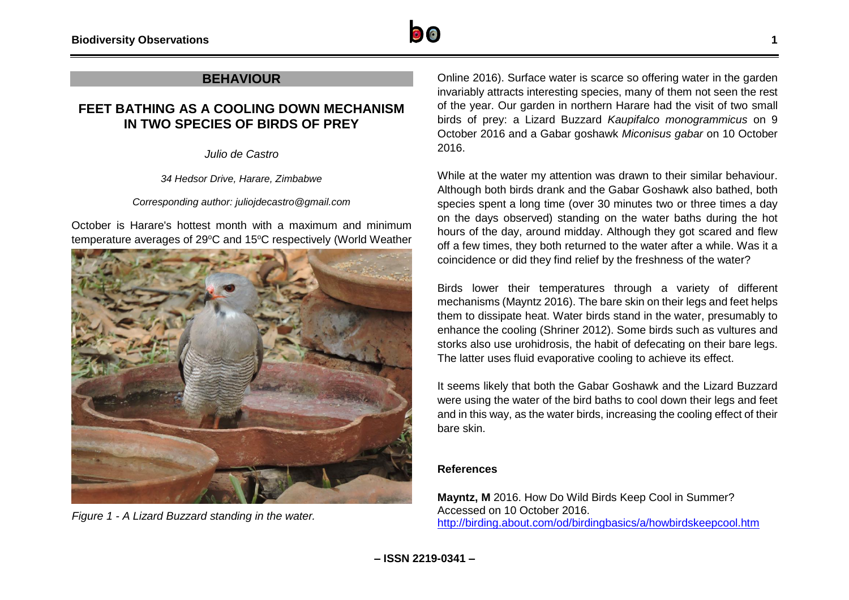

#### **BEHAVIOUR**

### **FEET BATHING AS A COOLING DOWN MECHANISM IN TWO SPECIES OF BIRDS OF PREY**

*Julio de Castro*

*34 Hedsor Drive, Harare, Zimbabwe*

*Corresponding author: juliojdecastro@gmail.com*

October is Harare's hottest month with a maximum and minimum temperature averages of 29°C and 15°C respectively (World Weather



Online 2016). Surface water is scarce so offering water in the garden invariably attracts interesting species, many of them not seen the rest of the year. Our garden in northern Harare had the visit of two small birds of prey: a Lizard Buzzard *Kaupifalco monogrammicus* on 9 October 2016 and a Gabar goshawk *Miconisus gabar* on 10 October 2016.

While at the water my attention was drawn to their similar behaviour. Although both birds drank and the Gabar Goshawk also bathed, both species spent a long time (over 30 minutes two or three times a day on the days observed) standing on the water baths during the hot hours of the day, around midday. Although they got scared and flew off a few times, they both returned to the water after a while. Was it a coincidence or did they find relief by the freshness of the water?

Birds lower their temperatures through a variety of different mechanisms (Mayntz 2016). The bare skin on their legs and feet helps them to dissipate heat. Water birds stand in the water, presumably to enhance the cooling (Shriner 2012). Some birds such as vultures and storks also use urohidrosis, the habit of defecating on their bare legs. The latter uses fluid evaporative cooling to achieve its effect.

It seems likely that both the Gabar Goshawk and the Lizard Buzzard were using the water of the bird baths to cool down their legs and feet and in this way, as the water birds, increasing the cooling effect of their bare skin.

#### **References**

**Mayntz, M** 2016. How Do Wild Birds Keep Cool in Summer? Accessed on 10 October 2016. <http://birding.about.com/od/birdingbasics/a/howbirdskeepcool.htm> *Figure 1 - A Lizard Buzzard standing in the water.*